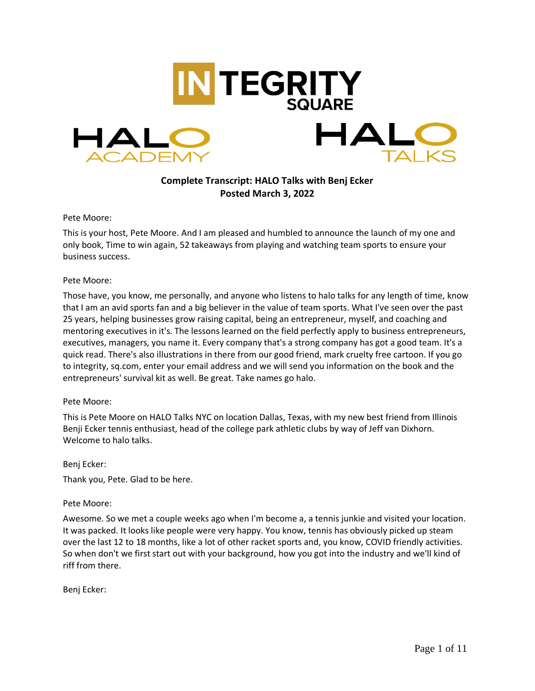

# **Complete Transcript: HALO Talks with Benj Ecker Posted March 3, 2022**

Pete Moore:

This is your host, Pete Moore. And I am pleased and humbled to announce the launch of my one and only book, Time to win again, 52 takeaways from playing and watching team sports to ensure your business success.

#### Pete Moore:

Those have, you know, me personally, and anyone who listens to halo talks for any length of time, know that I am an avid sports fan and a big believer in the value of team sports. What I've seen over the past 25 years, helping businesses grow raising capital, being an entrepreneur, myself, and coaching and mentoring executives in it's. The lessons learned on the field perfectly apply to business entrepreneurs, executives, managers, you name it. Every company that's a strong company has got a good team. It's a quick read. There's also illustrations in there from our good friend, mark cruelty free cartoon. If you go to integrity, sq.com, enter your email address and we will send you information on the book and the entrepreneurs' survival kit as well. Be great. Take names go halo.

#### Pete Moore:

This is Pete Moore on HALO Talks NYC on location Dallas, Texas, with my new best friend from Illinois Benji Ecker tennis enthusiast, head of the college park athletic clubs by way of Jeff van Dixhorn. Welcome to halo talks.

#### Benj Ecker:

Thank you, Pete. Glad to be here.

### Pete Moore:

Awesome. So we met a couple weeks ago when I'm become a, a tennis junkie and visited your location. It was packed. It looks like people were very happy. You know, tennis has obviously picked up steam over the last 12 to 18 months, like a lot of other racket sports and, you know, COVID friendly activities. So when don't we first start out with your background, how you got into the industry and we'll kind of riff from there.

Benj Ecker: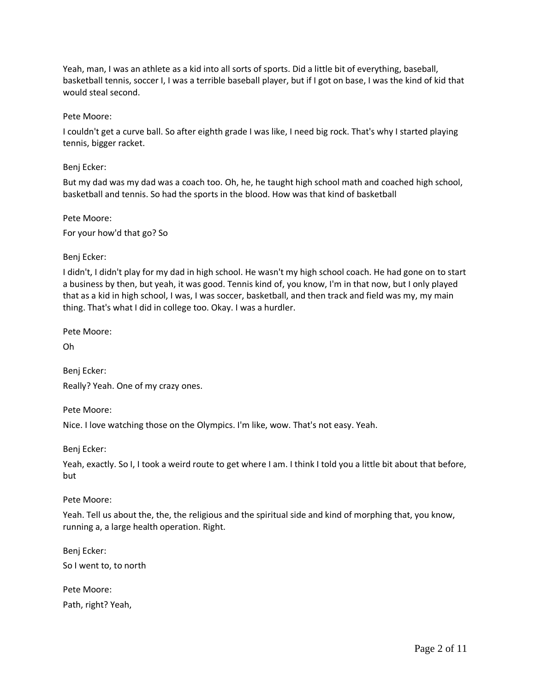Yeah, man, I was an athlete as a kid into all sorts of sports. Did a little bit of everything, baseball, basketball tennis, soccer I, I was a terrible baseball player, but if I got on base, I was the kind of kid that would steal second.

Pete Moore:

I couldn't get a curve ball. So after eighth grade I was like, I need big rock. That's why I started playing tennis, bigger racket.

Benj Ecker:

But my dad was my dad was a coach too. Oh, he, he taught high school math and coached high school, basketball and tennis. So had the sports in the blood. How was that kind of basketball

Pete Moore: For your how'd that go? So

Benj Ecker:

I didn't, I didn't play for my dad in high school. He wasn't my high school coach. He had gone on to start a business by then, but yeah, it was good. Tennis kind of, you know, I'm in that now, but I only played that as a kid in high school, I was, I was soccer, basketball, and then track and field was my, my main thing. That's what I did in college too. Okay. I was a hurdler.

Pete Moore:

Oh

Benj Ecker: Really? Yeah. One of my crazy ones.

Pete Moore: Nice. I love watching those on the Olympics. I'm like, wow. That's not easy. Yeah.

Benj Ecker:

Yeah, exactly. So I, I took a weird route to get where I am. I think I told you a little bit about that before, but

Pete Moore:

Yeah. Tell us about the, the, the religious and the spiritual side and kind of morphing that, you know, running a, a large health operation. Right.

Benj Ecker: So I went to, to north

Pete Moore: Path, right? Yeah,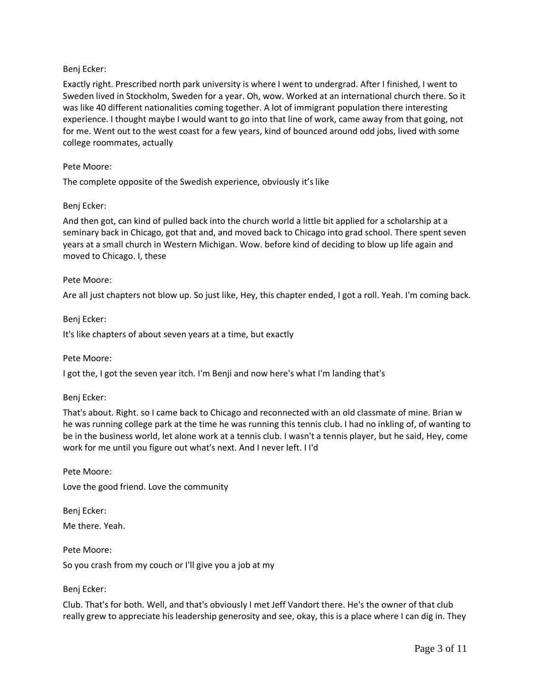# Benj Ecker:

Exactly right. Prescribed north park university is where I went to undergrad. After I finished, I went to Sweden lived in Stockholm, Sweden for a year. Oh, wow. Worked at an international church there. So it was like 40 different nationalities coming together. A lot of immigrant population there interesting experience. I thought maybe I would want to go into that line of work, came away from that going, not for me. Went out to the west coast for a few years, kind of bounced around odd jobs, lived with some college roommates, actually

#### Pete Moore:

The complete opposite of the Swedish experience, obviously it's like

#### Benj Ecker:

And then got, can kind of pulled back into the church world a little bit applied for a scholarship at a seminary back in Chicago, got that and, and moved back to Chicago into grad school. There spent seven years at a small church in Western Michigan. Wow. before kind of deciding to blow up life again and moved to Chicago. I, these

#### Pete Moore:

Are all just chapters not blow up. So just like, Hey, this chapter ended, I got a roll. Yeah. I'm coming back.

Benj Ecker:

It's like chapters of about seven years at a time, but exactly

Pete Moore:

I got the, I got the seven year itch. I'm Benji and now here's what I'm landing that's

Benj Ecker:

That's about. Right. so I came back to Chicago and reconnected with an old classmate of mine. Brian w he was running college park at the time he was running this tennis club. I had no inkling of, of wanting to be in the business world, let alone work at a tennis club. I wasn't a tennis player, but he said, Hey, come work for me until you figure out what's next. And I never left. I I'd

Pete Moore:

Love the good friend. Love the community

Benj Ecker: Me there. Yeah.

Pete Moore: So you crash from my couch or I'll give you a job at my

#### Benj Ecker:

Club. That's for both. Well, and that's obviously I met Jeff Vandort there. He's the owner of that club really grew to appreciate his leadership generosity and see, okay, this is a place where I can dig in. They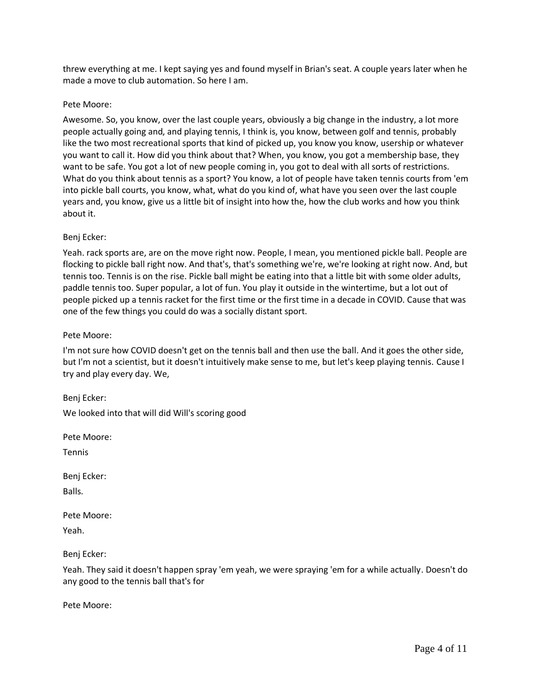threw everything at me. I kept saying yes and found myself in Brian's seat. A couple years later when he made a move to club automation. So here I am.

### Pete Moore:

Awesome. So, you know, over the last couple years, obviously a big change in the industry, a lot more people actually going and, and playing tennis, I think is, you know, between golf and tennis, probably like the two most recreational sports that kind of picked up, you know you know, usership or whatever you want to call it. How did you think about that? When, you know, you got a membership base, they want to be safe. You got a lot of new people coming in, you got to deal with all sorts of restrictions. What do you think about tennis as a sport? You know, a lot of people have taken tennis courts from 'em into pickle ball courts, you know, what, what do you kind of, what have you seen over the last couple years and, you know, give us a little bit of insight into how the, how the club works and how you think about it.

# Benj Ecker:

Yeah. rack sports are, are on the move right now. People, I mean, you mentioned pickle ball. People are flocking to pickle ball right now. And that's, that's something we're, we're looking at right now. And, but tennis too. Tennis is on the rise. Pickle ball might be eating into that a little bit with some older adults, paddle tennis too. Super popular, a lot of fun. You play it outside in the wintertime, but a lot out of people picked up a tennis racket for the first time or the first time in a decade in COVID. Cause that was one of the few things you could do was a socially distant sport.

### Pete Moore:

I'm not sure how COVID doesn't get on the tennis ball and then use the ball. And it goes the other side, but I'm not a scientist, but it doesn't intuitively make sense to me, but let's keep playing tennis. Cause I try and play every day. We,

Benj Ecker: We looked into that will did Will's scoring good

Pete Moore:

Tennis

Benj Ecker:

Balls.

Pete Moore:

Yeah.

Benj Ecker:

Yeah. They said it doesn't happen spray 'em yeah, we were spraying 'em for a while actually. Doesn't do any good to the tennis ball that's for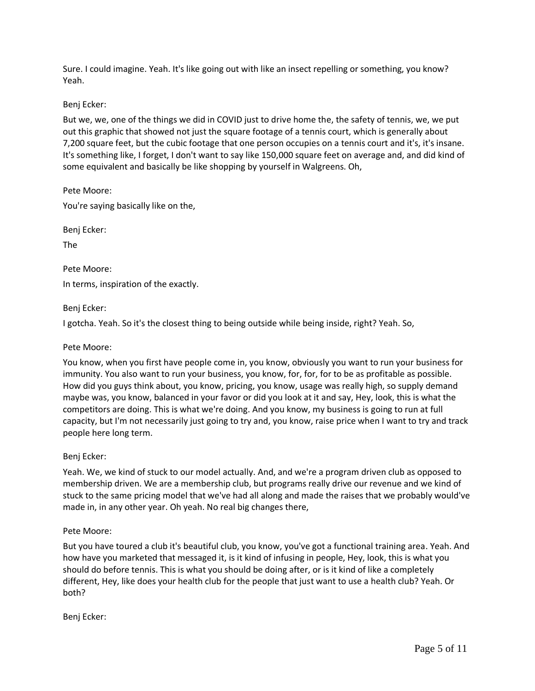Sure. I could imagine. Yeah. It's like going out with like an insect repelling or something, you know? Yeah.

### Benj Ecker:

But we, we, one of the things we did in COVID just to drive home the, the safety of tennis, we, we put out this graphic that showed not just the square footage of a tennis court, which is generally about 7,200 square feet, but the cubic footage that one person occupies on a tennis court and it's, it's insane. It's something like, I forget, I don't want to say like 150,000 square feet on average and, and did kind of some equivalent and basically be like shopping by yourself in Walgreens. Oh,

Pete Moore: You're saying basically like on the,

Benj Ecker:

The

Pete Moore: In terms, inspiration of the exactly.

Benj Ecker:

I gotcha. Yeah. So it's the closest thing to being outside while being inside, right? Yeah. So,

Pete Moore:

You know, when you first have people come in, you know, obviously you want to run your business for immunity. You also want to run your business, you know, for, for, for to be as profitable as possible. How did you guys think about, you know, pricing, you know, usage was really high, so supply demand maybe was, you know, balanced in your favor or did you look at it and say, Hey, look, this is what the competitors are doing. This is what we're doing. And you know, my business is going to run at full capacity, but I'm not necessarily just going to try and, you know, raise price when I want to try and track people here long term.

Benj Ecker:

Yeah. We, we kind of stuck to our model actually. And, and we're a program driven club as opposed to membership driven. We are a membership club, but programs really drive our revenue and we kind of stuck to the same pricing model that we've had all along and made the raises that we probably would've made in, in any other year. Oh yeah. No real big changes there,

### Pete Moore:

But you have toured a club it's beautiful club, you know, you've got a functional training area. Yeah. And how have you marketed that messaged it, is it kind of infusing in people, Hey, look, this is what you should do before tennis. This is what you should be doing after, or is it kind of like a completely different, Hey, like does your health club for the people that just want to use a health club? Yeah. Or both?

Benj Ecker: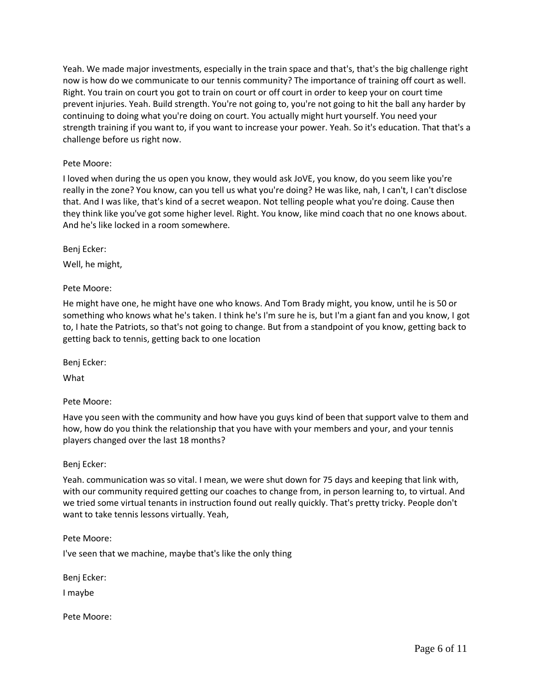Yeah. We made major investments, especially in the train space and that's, that's the big challenge right now is how do we communicate to our tennis community? The importance of training off court as well. Right. You train on court you got to train on court or off court in order to keep your on court time prevent injuries. Yeah. Build strength. You're not going to, you're not going to hit the ball any harder by continuing to doing what you're doing on court. You actually might hurt yourself. You need your strength training if you want to, if you want to increase your power. Yeah. So it's education. That that's a challenge before us right now.

# Pete Moore:

I loved when during the us open you know, they would ask JoVE, you know, do you seem like you're really in the zone? You know, can you tell us what you're doing? He was like, nah, I can't, I can't disclose that. And I was like, that's kind of a secret weapon. Not telling people what you're doing. Cause then they think like you've got some higher level. Right. You know, like mind coach that no one knows about. And he's like locked in a room somewhere.

Benj Ecker:

Well, he might,

Pete Moore:

He might have one, he might have one who knows. And Tom Brady might, you know, until he is 50 or something who knows what he's taken. I think he's I'm sure he is, but I'm a giant fan and you know, I got to, I hate the Patriots, so that's not going to change. But from a standpoint of you know, getting back to getting back to tennis, getting back to one location

Benj Ecker:

What

Pete Moore:

Have you seen with the community and how have you guys kind of been that support valve to them and how, how do you think the relationship that you have with your members and your, and your tennis players changed over the last 18 months?

Benj Ecker:

Yeah. communication was so vital. I mean, we were shut down for 75 days and keeping that link with, with our community required getting our coaches to change from, in person learning to, to virtual. And we tried some virtual tenants in instruction found out really quickly. That's pretty tricky. People don't want to take tennis lessons virtually. Yeah,

Pete Moore:

I've seen that we machine, maybe that's like the only thing

Benj Ecker:

I maybe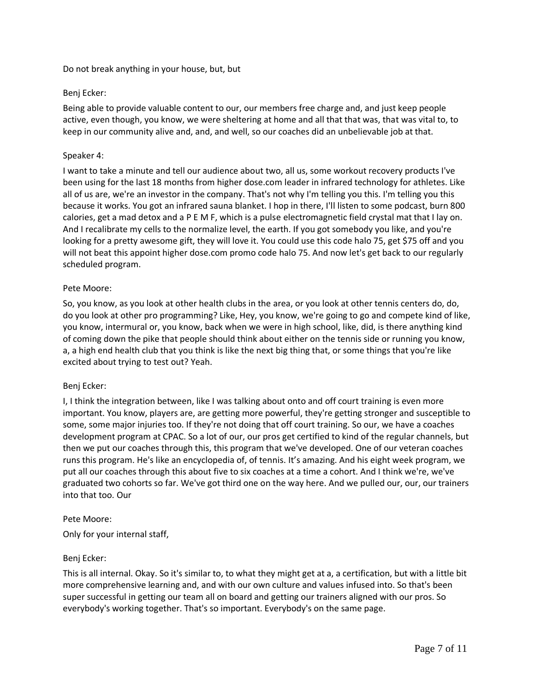Do not break anything in your house, but, but

# Benj Ecker:

Being able to provide valuable content to our, our members free charge and, and just keep people active, even though, you know, we were sheltering at home and all that that was, that was vital to, to keep in our community alive and, and, and well, so our coaches did an unbelievable job at that.

# Speaker 4:

I want to take a minute and tell our audience about two, all us, some workout recovery products I've been using for the last 18 months from higher dose.com leader in infrared technology for athletes. Like all of us are, we're an investor in the company. That's not why I'm telling you this. I'm telling you this because it works. You got an infrared sauna blanket. I hop in there, I'll listen to some podcast, burn 800 calories, get a mad detox and a P E M F, which is a pulse electromagnetic field crystal mat that I lay on. And I recalibrate my cells to the normalize level, the earth. If you got somebody you like, and you're looking for a pretty awesome gift, they will love it. You could use this code halo 75, get \$75 off and you will not beat this appoint higher dose.com promo code halo 75. And now let's get back to our regularly scheduled program.

### Pete Moore:

So, you know, as you look at other health clubs in the area, or you look at other tennis centers do, do, do you look at other pro programming? Like, Hey, you know, we're going to go and compete kind of like, you know, intermural or, you know, back when we were in high school, like, did, is there anything kind of coming down the pike that people should think about either on the tennis side or running you know, a, a high end health club that you think is like the next big thing that, or some things that you're like excited about trying to test out? Yeah.

### Benj Ecker:

I, I think the integration between, like I was talking about onto and off court training is even more important. You know, players are, are getting more powerful, they're getting stronger and susceptible to some, some major injuries too. If they're not doing that off court training. So our, we have a coaches development program at CPAC. So a lot of our, our pros get certified to kind of the regular channels, but then we put our coaches through this, this program that we've developed. One of our veteran coaches runs this program. He's like an encyclopedia of, of tennis. It's amazing. And his eight week program, we put all our coaches through this about five to six coaches at a time a cohort. And I think we're, we've graduated two cohorts so far. We've got third one on the way here. And we pulled our, our, our trainers into that too. Our

### Pete Moore:

Only for your internal staff,

### Benj Ecker:

This is all internal. Okay. So it's similar to, to what they might get at a, a certification, but with a little bit more comprehensive learning and, and with our own culture and values infused into. So that's been super successful in getting our team all on board and getting our trainers aligned with our pros. So everybody's working together. That's so important. Everybody's on the same page.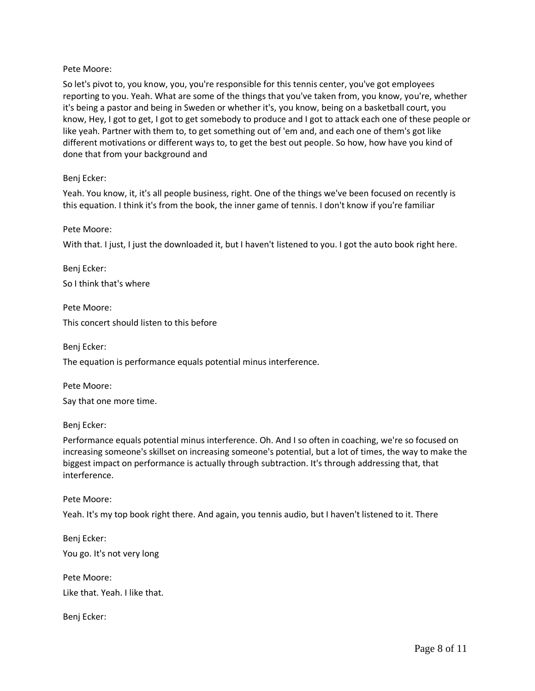### Pete Moore:

So let's pivot to, you know, you, you're responsible for this tennis center, you've got employees reporting to you. Yeah. What are some of the things that you've taken from, you know, you're, whether it's being a pastor and being in Sweden or whether it's, you know, being on a basketball court, you know, Hey, I got to get, I got to get somebody to produce and I got to attack each one of these people or like yeah. Partner with them to, to get something out of 'em and, and each one of them's got like different motivations or different ways to, to get the best out people. So how, how have you kind of done that from your background and

#### Benj Ecker:

Yeah. You know, it, it's all people business, right. One of the things we've been focused on recently is this equation. I think it's from the book, the inner game of tennis. I don't know if you're familiar

#### Pete Moore:

With that. I just, I just the downloaded it, but I haven't listened to you. I got the auto book right here.

Benj Ecker: So I think that's where

Pete Moore: This concert should listen to this before

Benj Ecker:

The equation is performance equals potential minus interference.

Pete Moore:

Say that one more time.

Benj Ecker:

Performance equals potential minus interference. Oh. And I so often in coaching, we're so focused on increasing someone's skillset on increasing someone's potential, but a lot of times, the way to make the biggest impact on performance is actually through subtraction. It's through addressing that, that interference.

Pete Moore:

Yeah. It's my top book right there. And again, you tennis audio, but I haven't listened to it. There

Benj Ecker: You go. It's not very long

Pete Moore: Like that. Yeah. I like that.

Benj Ecker: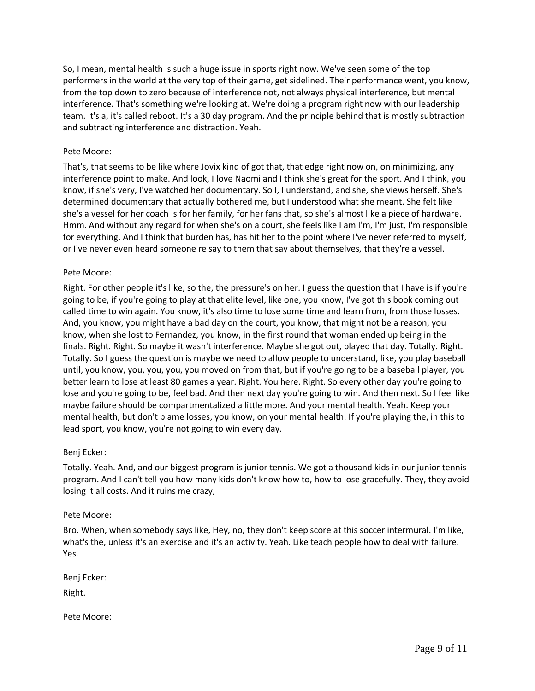So, I mean, mental health is such a huge issue in sports right now. We've seen some of the top performers in the world at the very top of their game, get sidelined. Their performance went, you know, from the top down to zero because of interference not, not always physical interference, but mental interference. That's something we're looking at. We're doing a program right now with our leadership team. It's a, it's called reboot. It's a 30 day program. And the principle behind that is mostly subtraction and subtracting interference and distraction. Yeah.

### Pete Moore:

That's, that seems to be like where Jovix kind of got that, that edge right now on, on minimizing, any interference point to make. And look, I love Naomi and I think she's great for the sport. And I think, you know, if she's very, I've watched her documentary. So I, I understand, and she, she views herself. She's determined documentary that actually bothered me, but I understood what she meant. She felt like she's a vessel for her coach is for her family, for her fans that, so she's almost like a piece of hardware. Hmm. And without any regard for when she's on a court, she feels like I am I'm, I'm just, I'm responsible for everything. And I think that burden has, has hit her to the point where I've never referred to myself, or I've never even heard someone re say to them that say about themselves, that they're a vessel.

### Pete Moore:

Right. For other people it's like, so the, the pressure's on her. I guess the question that I have is if you're going to be, if you're going to play at that elite level, like one, you know, I've got this book coming out called time to win again. You know, it's also time to lose some time and learn from, from those losses. And, you know, you might have a bad day on the court, you know, that might not be a reason, you know, when she lost to Fernandez, you know, in the first round that woman ended up being in the finals. Right. Right. So maybe it wasn't interference. Maybe she got out, played that day. Totally. Right. Totally. So I guess the question is maybe we need to allow people to understand, like, you play baseball until, you know, you, you, you, you moved on from that, but if you're going to be a baseball player, you better learn to lose at least 80 games a year. Right. You here. Right. So every other day you're going to lose and you're going to be, feel bad. And then next day you're going to win. And then next. So I feel like maybe failure should be compartmentalized a little more. And your mental health. Yeah. Keep your mental health, but don't blame losses, you know, on your mental health. If you're playing the, in this to lead sport, you know, you're not going to win every day.

### Benj Ecker:

Totally. Yeah. And, and our biggest program is junior tennis. We got a thousand kids in our junior tennis program. And I can't tell you how many kids don't know how to, how to lose gracefully. They, they avoid losing it all costs. And it ruins me crazy,

### Pete Moore:

Bro. When, when somebody says like, Hey, no, they don't keep score at this soccer intermural. I'm like, what's the, unless it's an exercise and it's an activity. Yeah. Like teach people how to deal with failure. Yes.

Benj Ecker:

Right.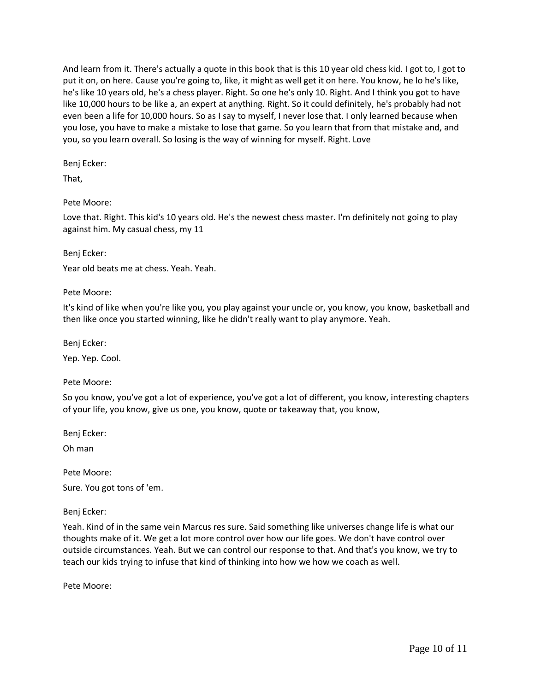And learn from it. There's actually a quote in this book that is this 10 year old chess kid. I got to, I got to put it on, on here. Cause you're going to, like, it might as well get it on here. You know, he lo he's like, he's like 10 years old, he's a chess player. Right. So one he's only 10. Right. And I think you got to have like 10,000 hours to be like a, an expert at anything. Right. So it could definitely, he's probably had not even been a life for 10,000 hours. So as I say to myself, I never lose that. I only learned because when you lose, you have to make a mistake to lose that game. So you learn that from that mistake and, and you, so you learn overall. So losing is the way of winning for myself. Right. Love

# Benj Ecker:

That,

# Pete Moore:

Love that. Right. This kid's 10 years old. He's the newest chess master. I'm definitely not going to play against him. My casual chess, my 11

### Benj Ecker:

Year old beats me at chess. Yeah. Yeah.

# Pete Moore:

It's kind of like when you're like you, you play against your uncle or, you know, you know, basketball and then like once you started winning, like he didn't really want to play anymore. Yeah.

Benj Ecker:

Yep. Yep. Cool.

# Pete Moore:

So you know, you've got a lot of experience, you've got a lot of different, you know, interesting chapters of your life, you know, give us one, you know, quote or takeaway that, you know,

Benj Ecker:

Oh man

Pete Moore:

Sure. You got tons of 'em.

Benj Ecker:

Yeah. Kind of in the same vein Marcus res sure. Said something like universes change life is what our thoughts make of it. We get a lot more control over how our life goes. We don't have control over outside circumstances. Yeah. But we can control our response to that. And that's you know, we try to teach our kids trying to infuse that kind of thinking into how we how we coach as well.